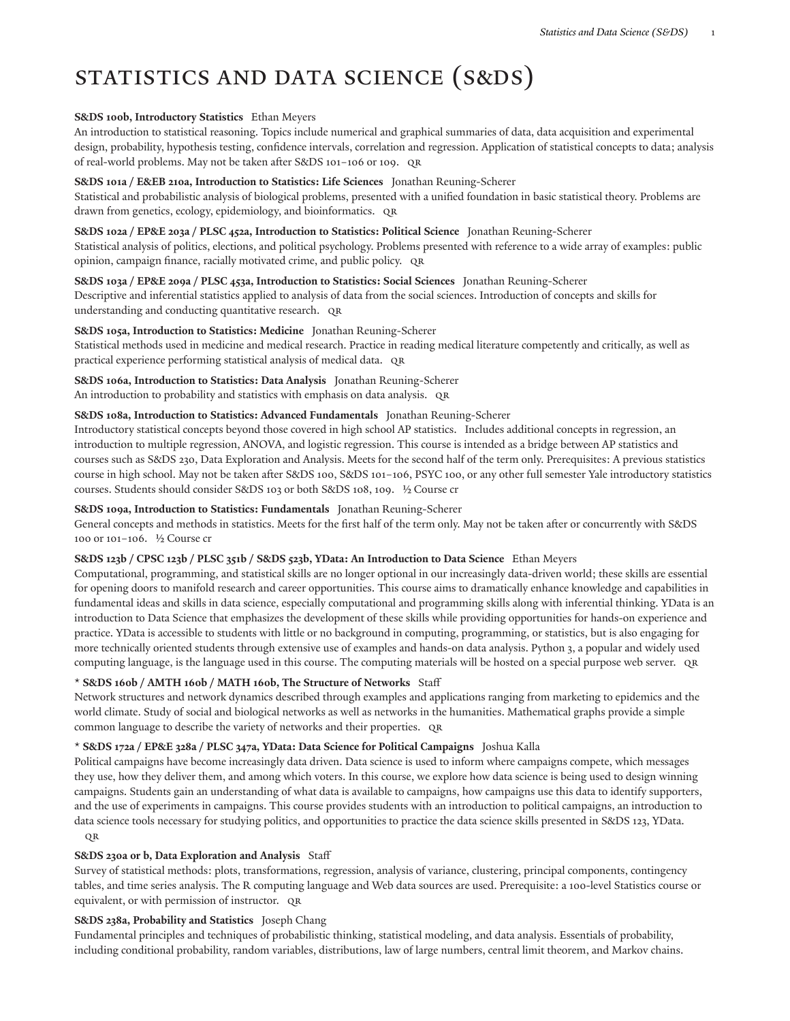# STATISTICS AND DATA SCIENCE (S&DS)

#### **S&DS 100b, Introductory Statistics** Ethan Meyers

An introduction to statistical reasoning. Topics include numerical and graphical summaries of data, data acquisition and experimental design, probability, hypothesis testing, confidence intervals, correlation and regression. Application of statistical concepts to data; analysis of real-world problems. May not be taken after S&DS 101-106 or 109. QR

#### **S&DS 101a / E&EB 210a, Introduction to Statistics: Life Sciences** Jonathan Reuning-Scherer

Statistical and probabilistic analysis of biological problems, presented with a unified foundation in basic statistical theory. Problems are drawn from genetics, ecology, epidemiology, and bioinformatics. QR

**S&DS 102a / EP&E 203a / PLSC 452a, Introduction to Statistics: Political Science** Jonathan Reuning-Scherer

Statistical analysis of politics, elections, and political psychology. Problems presented with reference to a wide array of examples: public opinion, campaign finance, racially motivated crime, and public policy. QR

**S&DS 103a / EP&E 209a / PLSC 453a, Introduction to Statistics: Social Sciences** Jonathan Reuning-Scherer Descriptive and inferential statistics applied to analysis of data from the social sciences. Introduction of concepts and skills for understanding and conducting quantitative research. QR

## **S&DS 105a, Introduction to Statistics: Medicine** Jonathan Reuning-Scherer

Statistical methods used in medicine and medical research. Practice in reading medical literature competently and critically, as well as practical experience performing statistical analysis of medical data. QR

**S&DS 106a, Introduction to Statistics: Data Analysis** Jonathan Reuning-Scherer An introduction to probability and statistics with emphasis on data analysis. QR

#### **S&DS 108a, Introduction to Statistics: Advanced Fundamentals** Jonathan Reuning-Scherer

Introductory statistical concepts beyond those covered in high school AP statistics. Includes additional concepts in regression, an introduction to multiple regression, ANOVA, and logistic regression. This course is intended as a bridge between AP statistics and courses such as S&DS 230, Data Exploration and Analysis. Meets for the second half of the term only. Prerequisites: A previous statistics course in high school. May not be taken after S&DS 100, S&DS 101-106, PSYC 100, or any other full semester Yale introductory statistics courses. Students should consider S&DS 103 or both S&DS 108, 109. ½ Course cr

#### **S&DS 109a, Introduction to Statistics: Fundamentals** Jonathan Reuning-Scherer

General concepts and methods in statistics. Meets for the first half of the term only. May not be taken after or concurrently with S&DS 100 or 101–106. ½ Course cr

## **S&DS 123b / CPSC 123b / PLSC 351b / S&DS 523b, YData: An Introduction to Data Science** Ethan Meyers

Computational, programming, and statistical skills are no longer optional in our increasingly data-driven world; these skills are essential for opening doors to manifold research and career opportunities. This course aims to dramatically enhance knowledge and capabilities in fundamental ideas and skills in data science, especially computational and programming skills along with inferential thinking. YData is an introduction to Data Science that emphasizes the development of these skills while providing opportunities for hands-on experience and practice. YData is accessible to students with little or no background in computing, programming, or statistics, but is also engaging for more technically oriented students through extensive use of examples and hands-on data analysis. Python 3, a popular and widely used computing language, is the language used in this course. The computing materials will be hosted on a special purpose web server. QR

## **\* S&DS 160b / AMTH 160b / MATH 160b, The Structure of Networks** Staff

Network structures and network dynamics described through examples and applications ranging from marketing to epidemics and the world climate. Study of social and biological networks as well as networks in the humanities. Mathematical graphs provide a simple common language to describe the variety of networks and their properties. QR

## **\* S&DS 172a / EP&E 328a / PLSC 347a, YData: Data Science for Political Campaigns** Joshua Kalla

Political campaigns have become increasingly data driven. Data science is used to inform where campaigns compete, which messages they use, how they deliver them, and among which voters. In this course, we explore how data science is being used to design winning campaigns. Students gain an understanding of what data is available to campaigns, how campaigns use this data to identify supporters, and the use of experiments in campaigns. This course provides students with an introduction to political campaigns, an introduction to data science tools necessary for studying politics, and opportunities to practice the data science skills presented in S&DS 123, YData. QR

## **S&DS 230a or b, Data Exploration and Analysis** Staff

Survey of statistical methods: plots, transformations, regression, analysis of variance, clustering, principal components, contingency tables, and time series analysis. The R computing language and Web data sources are used. Prerequisite: a 100-level Statistics course or equivalent, or with permission of instructor. QR

#### **S&DS 238a, Probability and Statistics** Joseph Chang

Fundamental principles and techniques of probabilistic thinking, statistical modeling, and data analysis. Essentials of probability, including conditional probability, random variables, distributions, law of large numbers, central limit theorem, and Markov chains.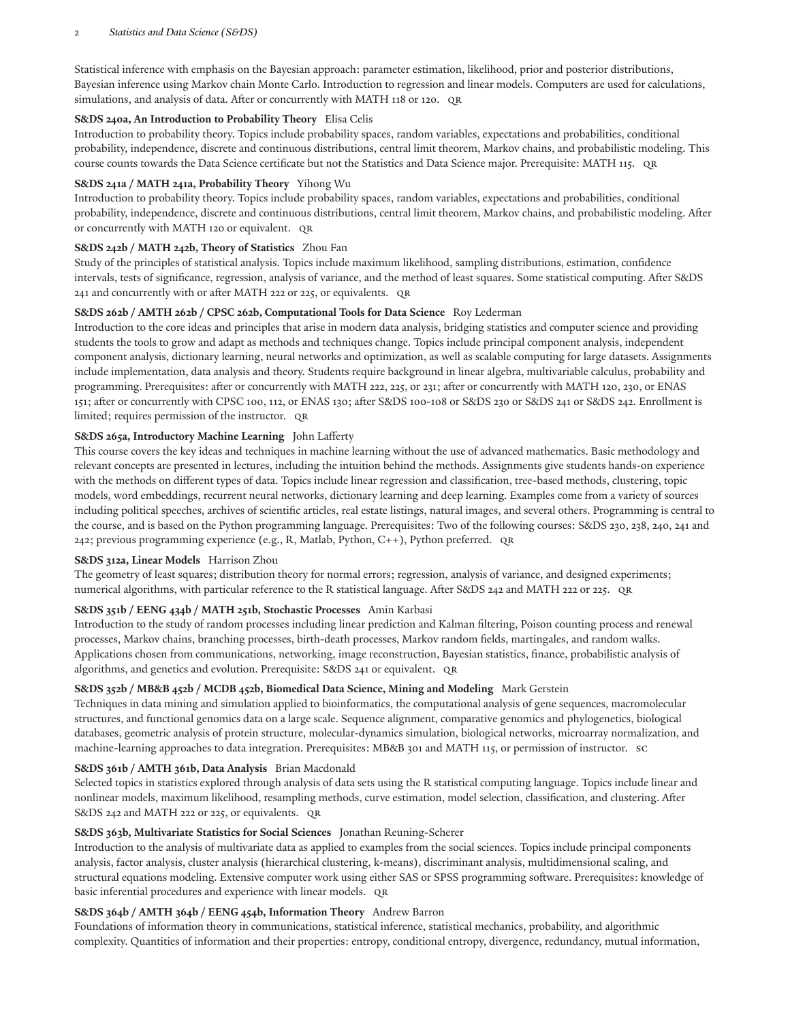#### 2 *Statistics and Data Science (S&DS)*

Statistical inference with emphasis on the Bayesian approach: parameter estimation, likelihood, prior and posterior distributions, Bayesian inference using Markov chain Monte Carlo. Introduction to regression and linear models. Computers are used for calculations, simulations, and analysis of data. After or concurrently with MATH 118 or 120. QR

## **S&DS 240a, An Introduction to Probability Theory** Elisa Celis

Introduction to probability theory. Topics include probability spaces, random variables, expectations and probabilities, conditional probability, independence, discrete and continuous distributions, central limit theorem, Markov chains, and probabilistic modeling. This course counts towards the Data Science certificate but not the Statistics and Data Science major. Prerequisite: MATH 115. QR

## **S&DS 241a / MATH 241a, Probability Theory** Yihong Wu

Introduction to probability theory. Topics include probability spaces, random variables, expectations and probabilities, conditional probability, independence, discrete and continuous distributions, central limit theorem, Markov chains, and probabilistic modeling. Aer or concurrently with MATH 120 or equivalent. QR

## **S&DS 242b / MATH 242b, Theory of Statistics** Zhou Fan

Study of the principles of statistical analysis. Topics include maximum likelihood, sampling distributions, estimation, confidence intervals, tests of significance, regression, analysis of variance, and the method of least squares. Some statistical computing. After S&DS 241 and concurrently with or after MATH 222 or 225, or equivalents. QR

## **S&DS 262b / AMTH 262b / CPSC 262b, Computational Tools for Data Science** Roy Lederman

Introduction to the core ideas and principles that arise in modern data analysis, bridging statistics and computer science and providing students the tools to grow and adapt as methods and techniques change. Topics include principal component analysis, independent component analysis, dictionary learning, neural networks and optimization, as well as scalable computing for large datasets. Assignments include implementation, data analysis and theory. Students require background in linear algebra, multivariable calculus, probability and programming. Prerequisites: after or concurrently with MATH 222, 225, or 231; after or concurrently with MATH 120, 230, or ENAS 151; after or concurrently with CPSC 100, 112, or ENAS 130; after S&DS 100-108 or S&DS 230 or S&DS 241 or S&DS 242. Enrollment is limited; requires permission of the instructor. QR

## **S&DS 265a, Introductory Machine Learning** John Lafferty

This course covers the key ideas and techniques in machine learning without the use of advanced mathematics. Basic methodology and relevant concepts are presented in lectures, including the intuition behind the methods. Assignments give students hands-on experience with the methods on different types of data. Topics include linear regression and classification, tree-based methods, clustering, topic models, word embeddings, recurrent neural networks, dictionary learning and deep learning. Examples come from a variety of sources including political speeches, archives of scientific articles, real estate listings, natural images, and several others. Programming is central to the course, and is based on the Python programming language. Prerequisites: Two of the following courses: S&DS 230, 238, 240, 241 and 242; previous programming experience (e.g., R, Matlab, Python, C++), Python preferred. QR

## **S&DS 312a, Linear Models** Harrison Zhou

The geometry of least squares; distribution theory for normal errors; regression, analysis of variance, and designed experiments; numerical algorithms, with particular reference to the R statistical language. After S&DS 242 and MATH 222 or 225. QR

# **S&DS 351b / EENG 434b / MATH 251b, Stochastic Processes** Amin Karbasi

Introduction to the study of random processes including linear prediction and Kalman filtering, Poison counting process and renewal processes, Markov chains, branching processes, birth-death processes, Markov random fields, martingales, and random walks. Applications chosen from communications, networking, image reconstruction, Bayesian statistics, finance, probabilistic analysis of algorithms, and genetics and evolution. Prerequisite: S&DS 241 or equivalent. QR

# **S&DS 352b / MB&B 452b / MCDB 452b, Biomedical Data Science, Mining and Modeling** Mark Gerstein

Techniques in data mining and simulation applied to bioinformatics, the computational analysis of gene sequences, macromolecular structures, and functional genomics data on a large scale. Sequence alignment, comparative genomics and phylogenetics, biological databases, geometric analysis of protein structure, molecular-dynamics simulation, biological networks, microarray normalization, and machine-learning approaches to data integration. Prerequisites: MB&B 301 and MATH 115, or permission of instructor. SC

# **S&DS 361b / AMTH 361b, Data Analysis** Brian Macdonald

Selected topics in statistics explored through analysis of data sets using the R statistical computing language. Topics include linear and nonlinear models, maximum likelihood, resampling methods, curve estimation, model selection, classification, and clustering. After S&DS 242 and MATH 222 or 225, or equivalents. QR

# **S&DS 363b, Multivariate Statistics for Social Sciences** Jonathan Reuning-Scherer

Introduction to the analysis of multivariate data as applied to examples from the social sciences. Topics include principal components analysis, factor analysis, cluster analysis (hierarchical clustering, k-means), discriminant analysis, multidimensional scaling, and structural equations modeling. Extensive computer work using either SAS or SPSS programming software. Prerequisites: knowledge of basic inferential procedures and experience with linear models. QR

# **S&DS 364b / AMTH 364b / EENG 454b, Information Theory** Andrew Barron

Foundations of information theory in communications, statistical inference, statistical mechanics, probability, and algorithmic complexity. Quantities of information and their properties: entropy, conditional entropy, divergence, redundancy, mutual information,